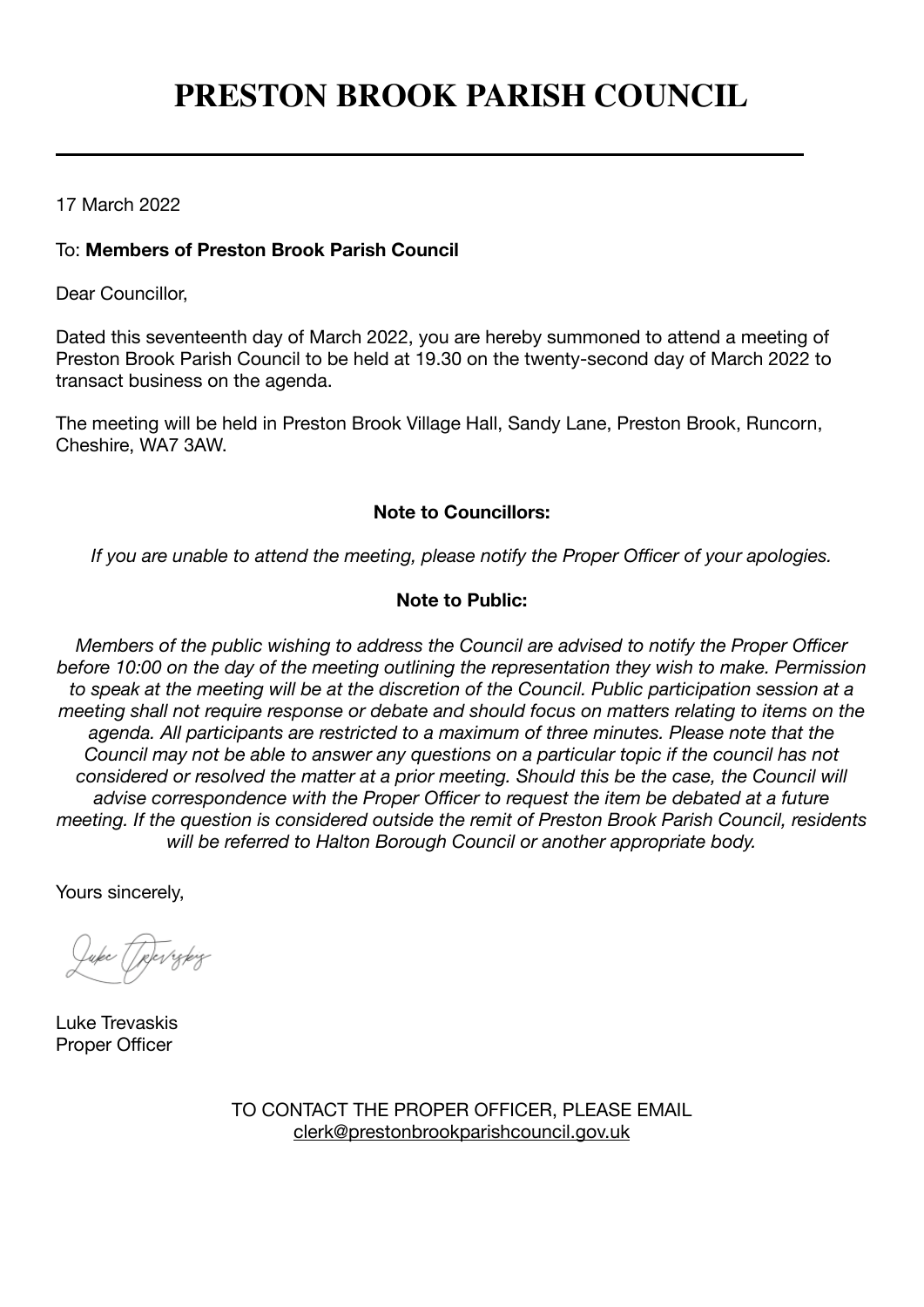# **PRESTON BROOK PARISH COUNCIL**

17 March 2022

## To: **Members of Preston Brook Parish Council**

Dear Councillor,

Dated this seventeenth day of March 2022, you are hereby summoned to attend a meeting of Preston Brook Parish Council to be held at 19.30 on the twenty-second day of March 2022 to transact business on the agenda.

The meeting will be held in Preston Brook Village Hall, Sandy Lane, Preston Brook, Runcorn, Cheshire, WA7 3AW.

## **Note to Councillors:**

*If you are unable to attend the meeting, please notify the Proper Officer of your apologies.*

# **Note to Public:**

*Members of the public wishing to address the Council are advised to notify the Proper Officer before 10:00 on the day of the meeting outlining the representation they wish to make. Permission to speak at the meeting will be at the discretion of the Council. Public participation session at a meeting shall not require response or debate and should focus on matters relating to items on the agenda. All participants are restricted to a maximum of three minutes. Please note that the Council may not be able to answer any questions on a particular topic if the council has not considered or resolved the matter at a prior meeting. Should this be the case, the Council will advise correspondence with the Proper Officer to request the item be debated at a future meeting. If the question is considered outside the remit of Preston Brook Parish Council, residents will be referred to Halton Borough Council or another appropriate body.*

Yours sincerely,

Luke Trevaskis Proper Officer

TO CONTACT THE PROPER OFFICER, PLEASE EMAIL [clerk@prestonbrookparishcouncil.gov.uk](mailto:clerk@prestonbrookparishcouncil.gov.uk)